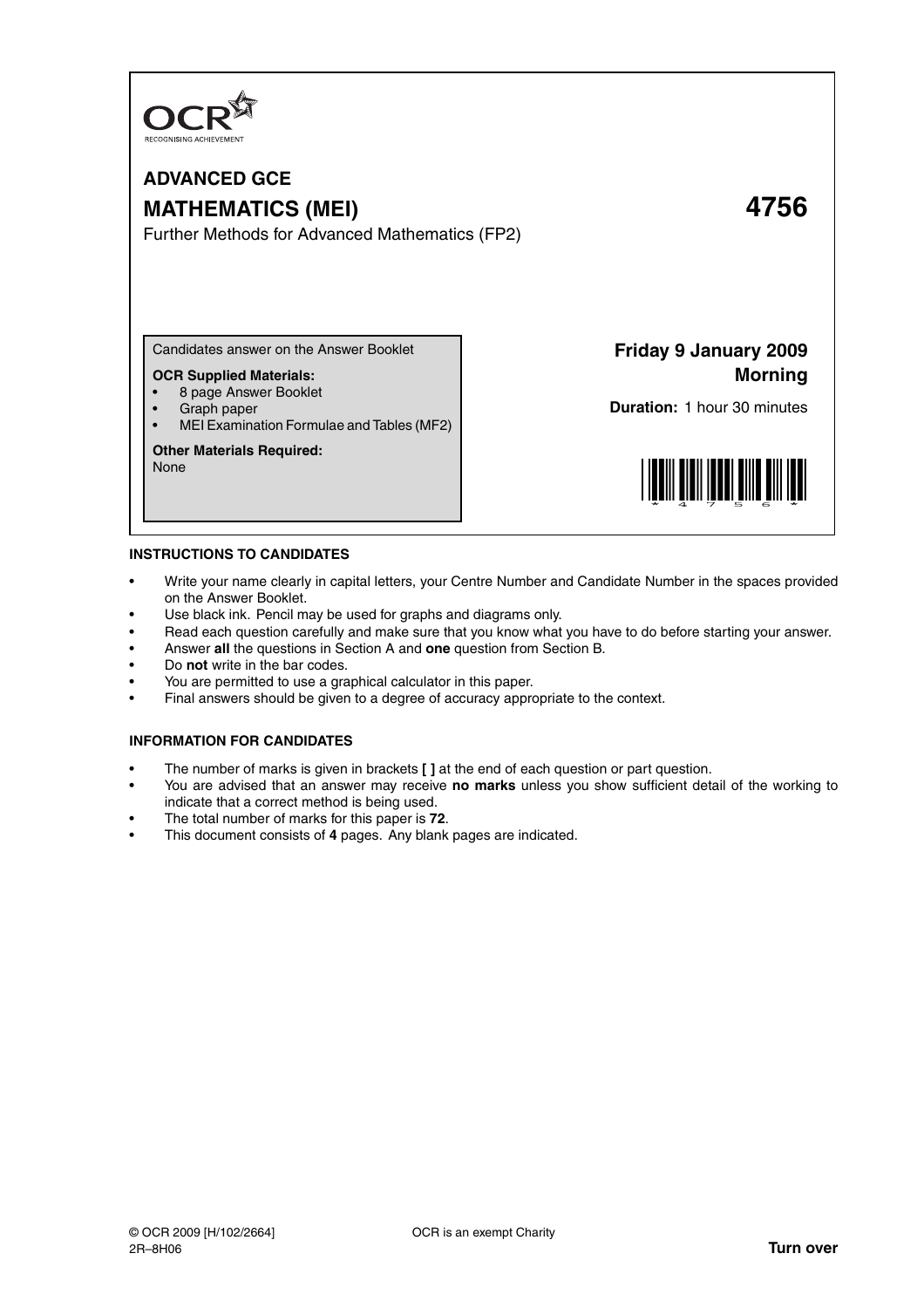

# **ADVANCED GCE MATHEMATICS (MEI) 4756**

Further Methods for Advanced Mathematics (FP2)

Candidates answer on the Answer Booklet

# **OCR Supplied Materials:**

- 8 page Answer Booklet
- Graph paper
- MEI Examination Formulae and Tables (MF2)

### **Other Materials Required:**

None

**Friday 9 January 2009 Morning**

**Duration:** 1 hour 30 minutes



### **INSTRUCTIONS TO CANDIDATES**

- Write your name clearly in capital letters, your Centre Number and Candidate Number in the spaces provided on the Answer Booklet.
- Use black ink. Pencil may be used for graphs and diagrams only.
- Read each question carefully and make sure that you know what you have to do before starting your answer.
- Answer **all** the questions in Section A and **one** question from Section B.
- Do **not** write in the bar codes.
- You are permitted to use a graphical calculator in this paper.
- Final answers should be given to a degree of accuracy appropriate to the context.

## **INFORMATION FOR CANDIDATES**

- The number of marks is given in brackets **[ ]** at the end of each question or part question.
- You are advised that an answer may receive **no marks** unless you show sufficient detail of the working to indicate that a correct method is being used.
- The total number of marks for this paper is **72**.
- This document consists of **4** pages. Any blank pages are indicated.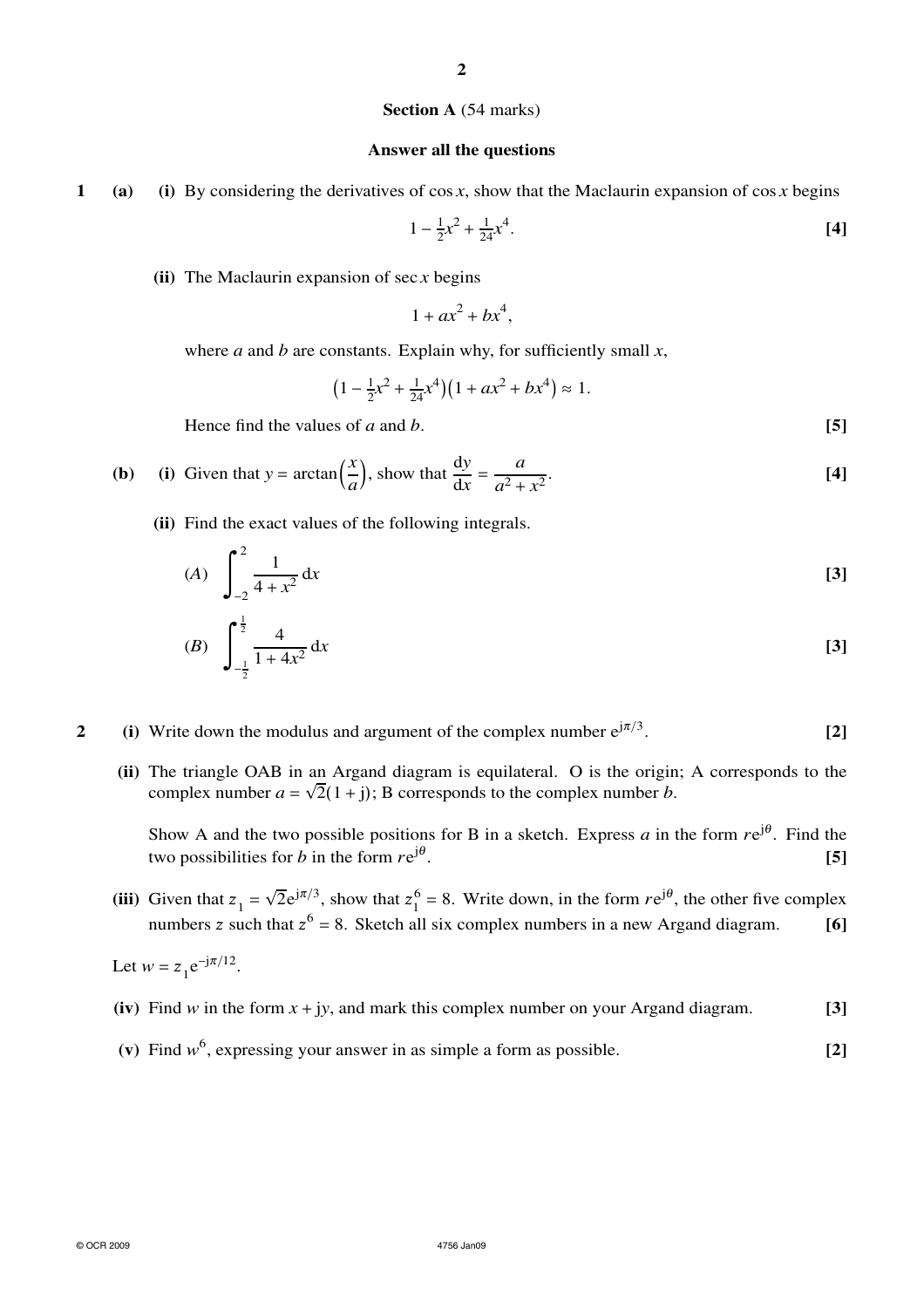# **Section A** (54 marks)

## **Answer all the questions**

**1 (a) (i)** By considering the derivatives of cos *x*, show that the Maclaurin expansion of cos *x* begins

$$
1 - \frac{1}{2}x^2 + \frac{1}{24}x^4.
$$
 [4]

**(ii)** The Maclaurin expansion of sec *x* begins

$$
1 + ax^2 + bx^4,
$$

where *a* and *b* are constants. Explain why, for sufficiently small  $x$ ,

$$
(1 - \frac{1}{2}x^2 + \frac{1}{24}x^4)(1 + ax^2 + bx^4) \approx 1.
$$

Hence find the values of *a* and *b*. **[5]**

**(b)** (i) Given that 
$$
y = \arctan\left(\frac{x}{a}\right)
$$
, show that  $\frac{dy}{dx} = \frac{a}{a^2 + x^2}$ . [4]

**(ii)** Find the exact values of the following integrals.

(A) 
$$
\int_{-2}^{2} \frac{1}{4 + x^2} dx
$$
 [3]

(B) 
$$
\int_{-\frac{1}{2}}^{\frac{1}{2}} \frac{4}{1+4x^2} dx
$$
 [3]

**2** (i) Write down the modulus and argument of the complex number  $e^{j\pi/3}$ . . **[2]**

**(ii)** The triangle OAB in an Argand diagram is equilateral. O is the origin; A corresponds to the complex number  $a = \sqrt{2}(1 + j)$ ; B corresponds to the complex number *b*.

Show A and the two possible positions for B in a sketch. Express  $a$  in the form  $re^{j\theta}$ . Find the two possibilities for *b* in the form *r*e jθ . **[5]**

(iii) Given that  $z_1 =$  $\sqrt{2}e^{j\pi/3}$ , show that  $z_1^6$  $_1^6$  = 8. Write down, in the form  $re^{j\theta}$ , the other five complex numbers z such that  $z^6 = 8$ . Sketch all six complex numbers in a new Argand diagram. **[6]** 

Let  $w = z_1 e^{-j\pi/12}$ .

- **(iv)** Find *w* in the form *x* + j*y*, and mark this complex number on your Argand diagram. **[3]**
- (v) Find  $w^6$ , expressing your answer in as simple a form as possible.  $[2]$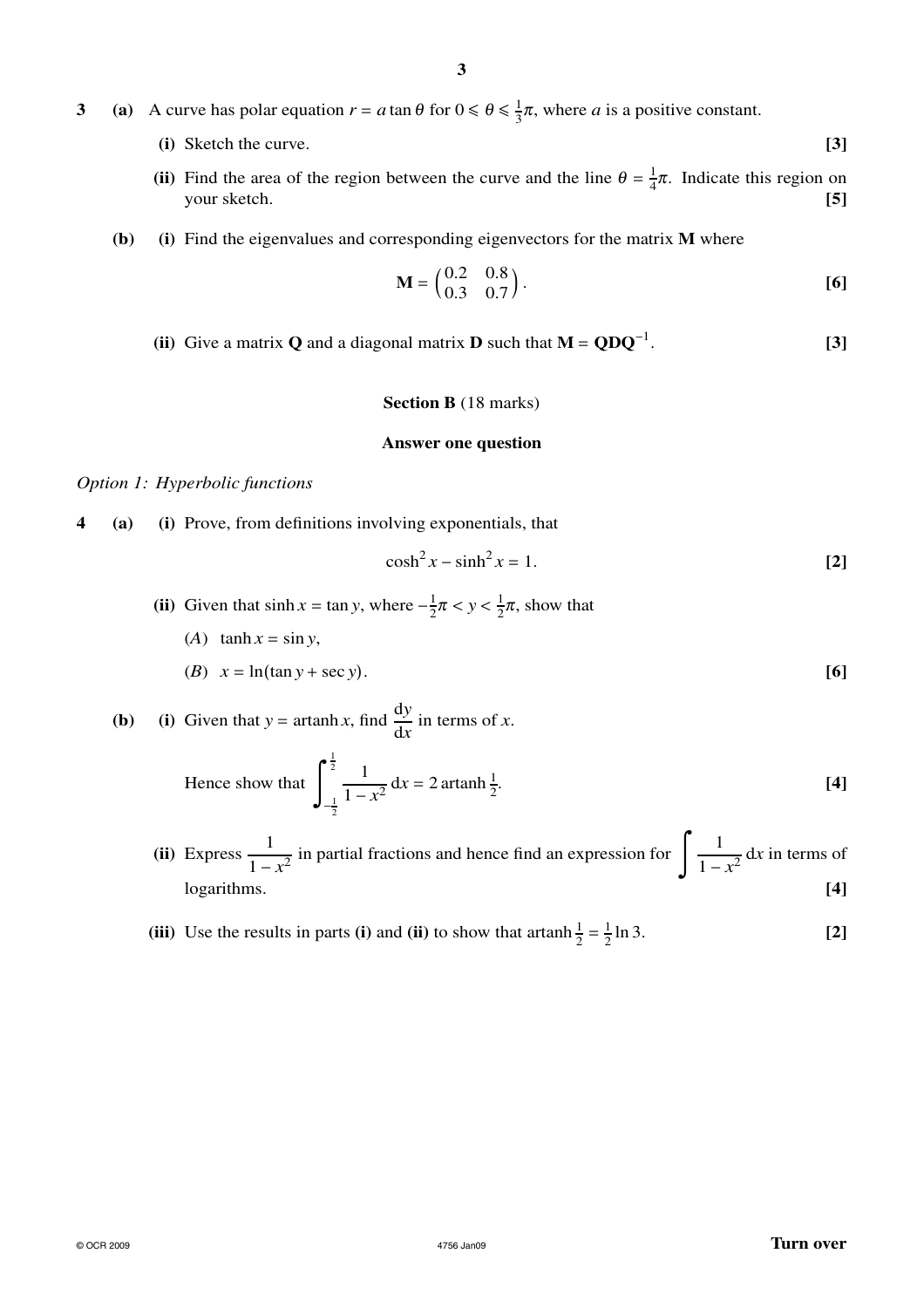- **3** (a) A curve has polar equation  $r = a \tan \theta$  for  $0 \le \theta \le \frac{1}{3}$  $\frac{1}{3}\pi$ , where *a* is a positive constant.
	- **(i)** Sketch the curve. **[3]**
	- (ii) Find the area of the region between the curve and the line  $\theta = \frac{1}{4}$  $\frac{1}{4}\pi$ . Indicate this region on your sketch. **[5]**
	- **(b) (i)** Find the eigenvalues and corresponding eigenvectors for the matrix **M** where

$$
\mathbf{M} = \begin{pmatrix} 0.2 & 0.8 \\ 0.3 & 0.7 \end{pmatrix} .
$$
 [6]

**(ii)** Give a matrix **Q** and a diagonal matrix **D** such that  $M = QDQ^{-1}$ . . **[3]**

# **Section B** (18 marks)

### **Answer one question**

# *Option 1: Hyperbolic functions*

**4 (a) (i)** Prove, from definitions involving exponentials, that

$$
\cosh^2 x - \sinh^2 x = 1. \tag{2}
$$

- **(ii)** Given that  $\sinh x = \tan y$ , where  $-\frac{1}{2}$  $\frac{1}{2}\pi < y < \frac{1}{2}$  $\frac{1}{2}\pi$ , show that
	- (*A*)  $\tanh x = \sin y$ ,

$$
(B) \quad x = \ln(\tan y + \sec y). \tag{6}
$$

**(b)** (i) Given that 
$$
y = \operatorname{artanh} x
$$
, find  $\frac{dy}{dx}$  in terms of x.

Hence show that 
$$
\int_{-\frac{1}{2}}^{\frac{1}{2}} \frac{1}{1 - x^2} dx = 2 \operatorname{artanh} \frac{1}{2}.
$$
 [4]

- $(iii)$  Express  $\frac{1}{1}$  $\frac{1}{1-x^2}$  in partial fractions and hence find an expression for  $\int \frac{1}{1-x^2}$  $\frac{1}{1-x^2}$  dx in terms of logarithms. **[4]**
- **(iii)** Use the results in parts **(i)** and **(ii)** to show that artanh  $\frac{1}{2} = \frac{1}{2}$  $\frac{1}{2} \ln 3.$  [2]